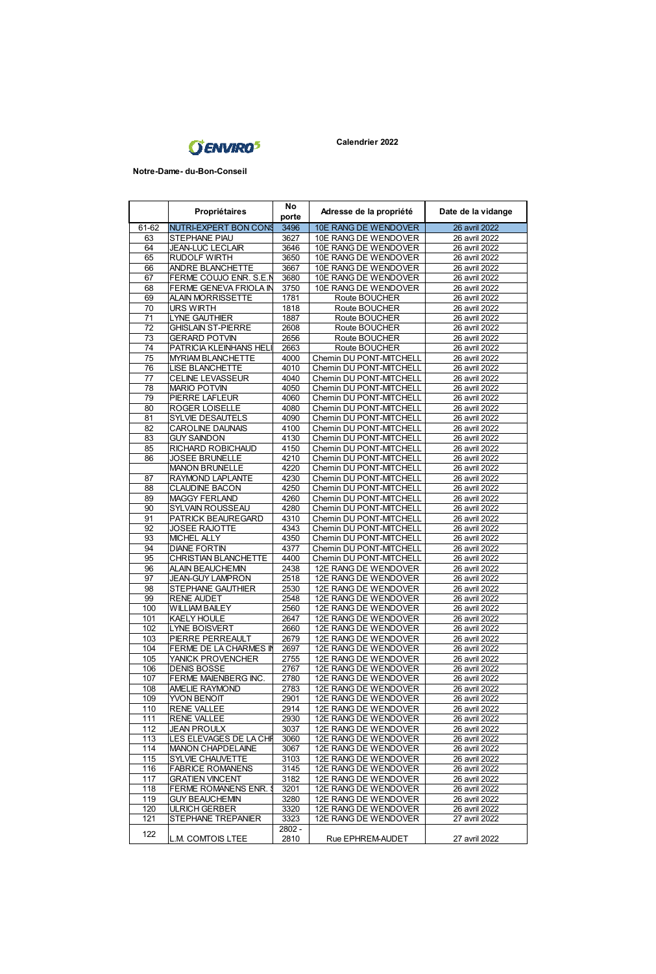

 **Notre-Dame- du-Bon-Conseil**

|                 |                              | No    |                         |                    |
|-----------------|------------------------------|-------|-------------------------|--------------------|
|                 | Propriétaires                | porte | Adresse de la propriété | Date de la vidange |
| 61-62           | <b>NUTRI-EXPERT BON CONS</b> | 3496  | 10E RANG DE WENDOVER    | 26 avril 2022      |
| 63              | STEPHANE PIAU                | 3627  | 10E RANG DE WENDOVER    | 26 avril 2022      |
| 64              |                              | 3646  |                         |                    |
|                 | <b>JEAN-LUC LECLAIR</b>      |       | 10E RANG DE WENDOVER    | 26 avril 2022      |
| 65              | <b>RUDOLF WIRTH</b>          | 3650  | 10E RANG DE WENDOVER    | 26 avril 2022      |
| 66              | ANDRE BLANCHETTE             | 3667  | 10E RANG DE WENDOVER    | 26 avril 2022      |
| 67              | FERME COUJO ENR. S.E.I       | 3680  | 10E RANG DE WENDOVER    | 26 avril 2022      |
| 68              | FERME GENEVA FRIOLA IN       | 3750  | 10E RANG DE WENDOVER    | 26 avril 2022      |
| 69              | ALAIN MORRISSETTE            | 1781  | Route BOUCHER           | 26 avril 2022      |
| 70              | <b>URS WIRTH</b>             | 1818  | Route BOUCHER           | 26 avril 2022      |
| $\overline{71}$ | <b>LYNE GAUTHIER</b>         | 1887  | Route BOUCHER           | 26 avril 2022      |
| 72              | <b>GHISLAIN ST-PIERRE</b>    | 2608  | Route BOUCHER           | 26 avril 2022      |
|                 |                              |       |                         |                    |
| 73              | <b>GERARD POTVIN</b>         | 2656  | Route BOUCHER           | 26 avril 2022      |
| 74              | PATRICIA KLEINHANS HEL       | 2663  | Route BOUCHER           | 26 avril 2022      |
| 75              | MYRIAM BLANCHETTE            | 4000  | Chemin DU PONT-MITCHELL | 26 avril 2022      |
| 76              | LISE BLANCHETTE              | 4010  | Chemin DU PONT-MITCHELL | 26 avril 2022      |
| $\overline{77}$ | <b>CELINE LEVASSEUR</b>      | 4040  | Chemin DU PONT-MITCHELL | 26 avril 2022      |
| 78              | <b>MARIO POTVIN</b>          | 4050  | Chemin DU PONT-MITCHELL | 26 avril 2022      |
| 79              | PERRE LAFLEUR                | 4060  | Chemin DU PONT-MITCHELL | 26 avril 2022      |
| 80              | ROGER LOISELLE               | 4080  | Chemin DU PONT-MITCHELL | 26 avril 2022      |
| 81              | <b>SYLVIE DESAUTELS</b>      | 4090  | Chemin DU PONT-MITCHELL | 26 avril 2022      |
| 82              | <b>CAROLINE DAUNAIS</b>      | 4100  | Chemin DU PONT-MITCHELL | 26 avril 2022      |
|                 |                              |       |                         |                    |
| 83              | <b>GUY SAINDON</b>           | 4130  | Chemin DU PONT-MITCHELL | 26 avril 2022      |
| 85              | RICHARD ROBICHAUD            | 4150  | Chemin DU PONT-MITCHELL | 26 avril 2022      |
| 86              | JOSEE BRUNELLE               | 4210  | Chemin DU PONT-MITCHELL | 26 avril 2022      |
|                 | <b>MANON BRUNELLE</b>        | 4220  | Chemin DU PONT-MITCHELL | 26 avril 2022      |
| 87              | RAYMOND LAPLANTE             | 4230  | Chemin DU PONT-MITCHELL | 26 avril 2022      |
| 88              | <b>CLAUDINE BACON</b>        | 4250  | Chemin DU PONT-MITCHELL | 26 avril 2022      |
| 89              | MAGGY FERLAND                | 4260  | Chemin DU PONT-MITCHELL | 26 avril 2022      |
| 90              | SYLVAIN ROUSSEAU             | 4280  | Chemin DU PONT-MITCHELL | 26 avril 2022      |
| 91              | PATRICK BEAUREGARD           | 4310  | Chemin DU PONT-MITCHELL | 26 avril 2022      |
| 92              | JOSEE RAJOTTE                | 4343  | Chemin DU PONT-MITCHELL | 26 avril 2022      |
|                 |                              |       |                         |                    |
| 93              | MICHEL ALLY                  | 4350  | Chemin DU PONT-MITCHELL | 26 avril 2022      |
| 94              | <b>DIANE FORTIN</b>          | 4377  | Chemin DU PONT-MITCHELL | 26 avril 2022      |
| 95              | CHRISTIAN BLANCHETTE         | 4400  | Chemin DU PONT-MITCHELL | 26 avril 2022      |
| 96              | ALAIN BEAUCHEMN              | 2438  | 12E RANG DE WENDOVER    | 26 avril 2022      |
| 97              | <b>JEAN-GUY LAMPRON</b>      | 2518  | 12E RANG DE WENDOVER    | 26 avril 2022      |
| 98              | STEPHANE GAUTHIER            | 2530  | 12E RANG DE WENDOVER    | 26 avril 2022      |
| 99              | <b>RENE AUDET</b>            | 2548  | 12E RANG DE WENDOVER    | 26 avril 2022      |
| 100             | <b>WILLIAM BAILEY</b>        | 2560  | 12E RANG DE WENDOVER    | 26 avril 2022      |
| 101             | <b>KAELY HOULE</b>           | 2647  | 12E RANG DE WENDOVER    | 26 avril 2022      |
| 102             | <b>LYNE BOISVERT</b>         | 2660  | 12E RANG DE WENDOVER    | 26 avril 2022      |
|                 |                              |       |                         |                    |
| 103             | PIERRE PERREAULT             | 2679  | 12E RANG DE WENDOVER    | 26 avril 2022      |
| 104             | FERME DE LA CHARMES IN       | 2697  | 12E RANG DE WENDOVER    | 26 avril 2022      |
| 105             | YANICK PROVENCHER            | 2755  | 12E RANG DE WENDOVER    | 26 avril 2022      |
| 106             | <b>DENIS BOSSE</b>           | 2767  | 12E RANG DE WENDOVER    | 26 avril 2022      |
| 107             | FERME MAIENBERG INC.         | 2780  | 12E RANG DE WENDOVER    | 26 avril 2022      |
| 108             | AMELIE RAYMOND               | 2783  | 12E RANG DE WENDOVER    | 26 avril 2022      |
| 109             | YVON BENOIT                  | 2901  | 12E RANG DE WENDOVER    | 26 avril 2022      |
| 110             | <b>RENE VALLEE</b>           | 2914  | 12F RANG DE WENDOVER    | 26 avril 2022      |
| 111             | <b>RENE VALLEE</b>           | 2930  | 12E RANG DE WENDOVER    | 26 avril 2022      |
| 112             | <b>JEAN PROULX</b>           | 3037  | 12E RANG DE WENDOVER    | 26 avril 2022      |
|                 |                              |       |                         |                    |
| 113             | LES ELEVAGES DE LA CHF       | 3060  | 12E RANG DE WENDOVER    | 26 avril 2022      |
| 114             | <b>MANON CHAPDELAINE</b>     | 3067  | 12E RANG DE WENDOVER    | 26 avril 2022      |
| 115             | SYLVIE CHAUVETTE             | 3103  | 12E RANG DE WENDOVER    | 26 avril 2022      |
| 116             | <b>FABRICE ROMANENS</b>      | 3145  | 12E RANG DE WENDOVER    | 26 avril 2022      |
| 117             | <b>GRATIEN VINCENT</b>       | 3182  | 12E RANG DE WENDOVER    | 26 avril 2022      |
| 118             | FERME ROMANENS ENR.          | 3201  | 12E RANG DE WENDOVER    | 26 avril 2022      |
| 119             | <b>GUY BEAUCHEMIN</b>        | 3280  | 12E RANG DE WENDOVER    | 26 avril 2022      |
| 120             | <b>ULRICH GERBER</b>         | 3320  | 12E RANG DE WENDOVER    | 26 avril 2022      |
| 121             | STEPHANE TREPANIER           | 3323  | 12E RANG DE WENDOVER    | 27 avril 2022      |
|                 |                              | 2802- |                         |                    |
| 122             | L.M. COMTOIS LTEE            | 2810  | Rue EPHREM-AUDET        | 27 avril 2022      |
|                 |                              |       |                         |                    |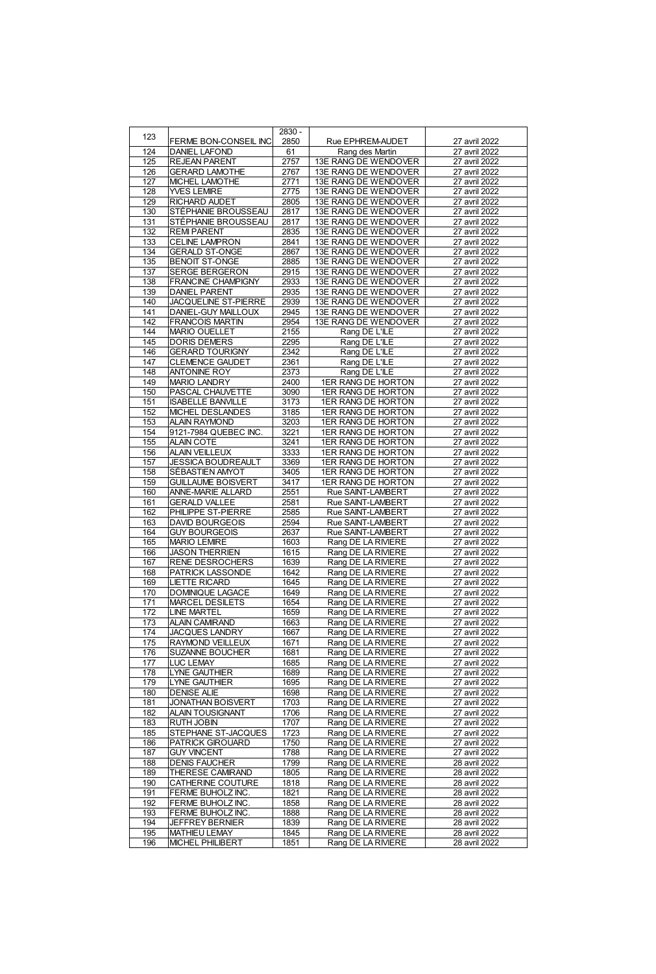| 123 |                           | $2830 -$ |                      |               |
|-----|---------------------------|----------|----------------------|---------------|
|     | FERME BON-CONSEIL INC     | 2850     | Rue EPHREM-AUDET     | 27 avril 2022 |
| 124 | <b>DANIEL LAFOND</b>      | 61       | Rang des Martin      | 27 avril 2022 |
| 125 | <b>REJEAN PARENT</b>      | 2757     | 13E RANG DE WENDOVER | 27 avril 2022 |
| 126 | <b>GERARD LAMOTHE</b>     | 2767     | 13E RANG DE WENDOVER | 27 avril 2022 |
| 127 | MICHEL LAMOTHE            | 2771     | 13E RANG DE WENDOVER | 27 avril 2022 |
|     |                           |          |                      |               |
| 128 | YVES LEMRE                | 2775     | 13E RANG DE WENDOVER | 27 avril 2022 |
| 129 | <b>RICHARD AUDET</b>      | 2805     | 13E RANG DE WENDOVER | 27 avril 2022 |
| 130 | STÉPHANIE BROUSSEAU       | 2817     | 13E RANG DE WENDOVER | 27 avril 2022 |
| 131 | STÉPHANIE BROUSSEAU       | 2817     | 13E RANG DE WENDOVER | 27 avril 2022 |
| 132 | <b>REM PARENT</b>         | 2835     | 13E RANG DE WENDOVER | 27 avril 2022 |
| 133 | CELINE LAMPRON            | 2841     | 13E RANG DE WENDOVER | 27 avril 2022 |
| 134 | GERALD ST-ONGE            | 2867     | 13E RANG DE WENDOVER | 27 avril 2022 |
|     |                           |          |                      |               |
| 135 | <b>BENOIT ST-ONGE</b>     | 2885     | 13E RANG DE WENDOVER | 27 avril 2022 |
| 137 | <b>SERGE BERGERON</b>     | 2915     | 13E RANG DE WENDOVER | 27 avril 2022 |
| 138 | FRANCINE CHAMPIGNY        | 2933     | 13E RANG DE WENDOVER | 27 avril 2022 |
| 139 | <b>DANIEL PARENT</b>      | 2935     | 13E RANG DE WENDOVER | 27 avril 2022 |
| 140 | JACQUELINE ST-PIERRE      | 2939     | 13E RANG DE WENDOVER | 27 avril 2022 |
| 141 | DANIEL-GUY MAILLOUX       | 2945     | 13E RANG DE WENDOVER | 27 avril 2022 |
| 142 | <b>FRANCOIS MARTIN</b>    | 2954     | 13E RANG DE WENDOVER | 27 avril 2022 |
| 144 | MARIO OUELLET             | 2155     | Rang DE L'ILE        | 27 avril 2022 |
| 145 | <b>DORIS DEMERS</b>       | 2295     | Rang DE L'ILE        | 27 avril 2022 |
| 146 | <b>GERARD TOURIGNY</b>    | 2342     | Rang DE L'ILE        | 27 avril 2022 |
|     |                           |          |                      |               |
| 147 | CLEMENCE GAUDET           | 2361     | Rang DE L'ILE        | 27 avril 2022 |
| 148 | ANTONINE ROY              | 2373     | Rang DE L'ILE        | 27 avril 2022 |
| 149 | <b>MARIO LANDRY</b>       | 2400     | 1ER RANG DE HORTON   | 27 avril 2022 |
| 150 | PASCAL CHAUVETTE          | 3090     | 1ER RANG DE HORTON   | 27 avril 2022 |
| 151 | <b>ISABELLE BANVILLE</b>  | 3173     | 1ER RANG DE HORTON   | 27 avril 2022 |
| 152 | MICHEL DESLANDES          | 3185     | 1ER RANG DE HORTON   | 27 avril 2022 |
| 153 | ALAIN RAYMOND             | 3203     | 1ER RANG DE HORTON   | 27 avril 2022 |
| 154 | 9121-7984 QUEBEC INC.     | 3221     | 1ER RANG DE HORTON   | 27 avril 2022 |
| 155 | ALAIN COTE                | 3241     | 1ER RANG DE HORTON   | 27 avril 2022 |
|     |                           |          |                      |               |
| 156 | ALAIN VEILLEUX            | 3333     | 1ER RANG DE HORTON   | 27 avril 2022 |
| 157 | <b>JESSICA BOUDREAULT</b> | 3369     | 1ER RANG DE HORTON   | 27 avril 2022 |
| 158 | SÉBASTIEN AMYOT           | 3405     | 1ER RANG DE HORTON   | 27 avril 2022 |
| 159 | <b>GUILLAUME BOISVERT</b> | 3417     | 1ER RANG DE HORTON   | 27 avril 2022 |
| 160 | ANNE-MARIE ALLARD         | 2551     | Rue SAINT-LAMBERT    | 27 avril 2022 |
| 161 | <b>GERALD VALLEE</b>      | 2581     | Rue SAINT-LAMBERT    | 27 avril 2022 |
| 162 | PHILIPPE ST-PIERRE        | 2585     | Rue SAINT-LAMBERT    | 27 avril 2022 |
| 163 | DAVID BOURGEOIS           | 2594     | Rue SAINT-LAMBERT    | 27 avril 2022 |
| 164 | <b>GUY BOURGEOIS</b>      | 2637     | Rue SAINT-LAMBERT    | 27 avril 2022 |
|     |                           | 1603     |                      |               |
| 165 | <b>MARIO LEMIRE</b>       |          | Rang DE LA RIVIERE   | 27 avril 2022 |
| 166 | <b>JASON THERRIEN</b>     | 1615     | Rang DE LA RIVIERE   | 27 avril 2022 |
| 167 | RENE DESROCHERS           | 1639     | Rang DE LA RIVIERE   | 27 avril 2022 |
| 168 | <b>PATRICK LASSONDE</b>   | 1642     | Rang DE LA RIVIERE   | 27 avril 2022 |
| 169 | LIETTE RICARD             | 1645     | Rang DE LA RIVIERE   | 27 avril 2022 |
| 170 | DOMINIQUE LAGACE          | 1649     | Rang DE LA RIVIERE   | 27 avril 2022 |
| 171 | <b>MARCEL DESILETS</b>    | 1654     | Rang DE LA RIVIERE   | 27 avril 2022 |
| 172 | LINE MARTEL               | 1659     | Rang DE LA RIVIERE   | 27 avril 2022 |
| 173 | ALAIN CAMRAND             | 1663     | Rang DE LA RIVIERE   | 27 avril 2022 |
| 174 | <b>JACQUES LANDRY</b>     | 1667     | Rang DE LA RIVIERE   | 27 avril 2022 |
| 175 | RAYMOND VEILLEUX          | 1671     | Rang DE LA RIVIERE   | 27 avril 2022 |
| 176 |                           | 1681     |                      | 27 avril 2022 |
|     | <b>SUZANNE BOUCHER</b>    |          | Rang DE LA RIVIERE   |               |
| 177 | LUC LEMAY                 | 1685     | Rang DE LA RIVIERE   | 27 avril 2022 |
| 178 | LYNE GAUTHER              | 1689     | Rang DE LA RIVIERE   | 27 avril 2022 |
| 179 | <b>LYNE GAUTHER</b>       | 1695     | Rang DE LA RIVIERE   | 27 avril 2022 |
| 180 | <b>DENISE ALIE</b>        | 1698     | Rang DE LA RIVIERE   | 27 avril 2022 |
| 181 | <b>JONATHAN BOISVERT</b>  | 1703     | Rang DE LA RIVIERE   | 27 avril 2022 |
| 182 | ALAIN TOUSIGNANT          | 1706     | Rang DE LA RIVIERE   | 27 avril 2022 |
| 183 | RUTH JOBIN                | 1707     | Rang DE LA RIVIERE   | 27 avril 2022 |
| 185 | STEPHANE ST-JACQUES       | 1723     | Rang DE LA RIVIERE   | 27 avril 2022 |
| 186 |                           | 1750     |                      |               |
|     | PATRICK GIROUARD          |          | Rang DE LA RIVIERE   | 27 avril 2022 |
| 187 | <b>GUY VINCENT</b>        | 1788     | Rang DE LA RIVIERE   | 27 avril 2022 |
| 188 | <b>DENIS FAUCHER</b>      | 1799     | Rang DE LA RIVIERE   | 28 avril 2022 |
| 189 | THERESE CAMIRAND          | 1805     | Rang DE LA RIVIERE   | 28 avril 2022 |
| 190 | CATHERINE COUTURE         | 1818     | Rang DE LA RIVIERE   | 28 avril 2022 |
| 191 | FERME BUHOLZ INC.         | 1821     | Rang DE LA RIVIERE   | 28 avril 2022 |
| 192 | <b>FERME BUHOLZ INC</b>   | 1858     | Rang DE LA RIVIERE   | 28 avril 2022 |
| 193 | <b>FERME BUHOLZ INC</b>   | 1888     | Rang DE LA RIVIERE   | 28 avril 2022 |
| 194 | <b>JEFFREY BERNER</b>     | 1839     | Rang DE LA RIVIERE   | 28 avril 2022 |
| 195 | MATHIEU LEMAY             | 1845     | Rang DE LA RIVIERE   | 28 avril 2022 |
| 196 |                           | 1851     |                      | 28 avril 2022 |
|     | MICHEL PHILIBERT          |          | Rang DE LA RIVIERE   |               |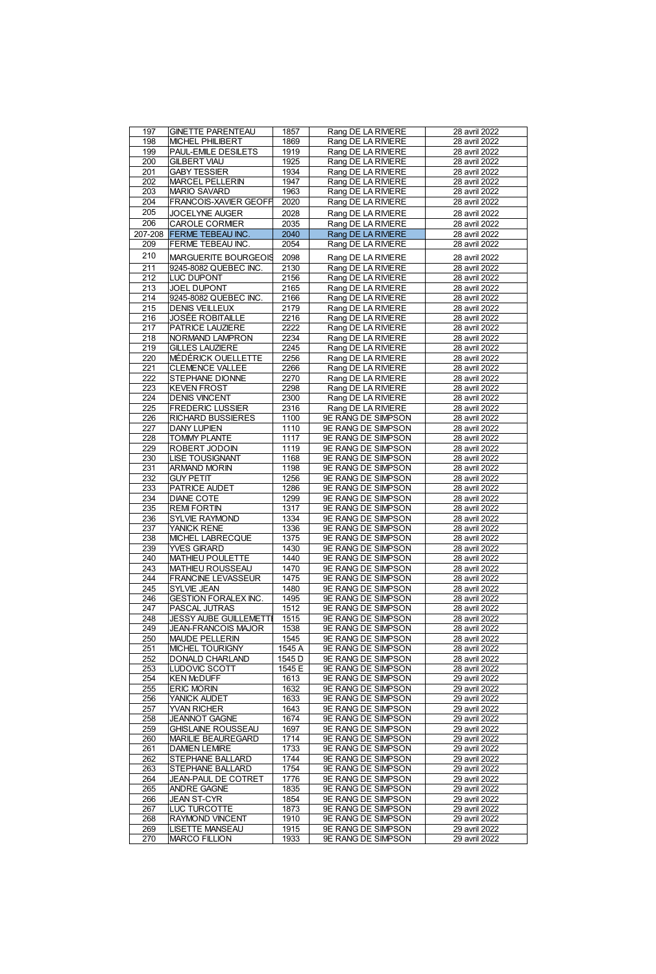| 197     | <b>GINETTE PARENTEAU</b>      | 1857              | Rang DE LA RIVIERE        | 28 avril 2022 |
|---------|-------------------------------|-------------------|---------------------------|---------------|
| 198     | MICHEL PHILIBERT              | 1869              | Rang DE LA RIVIERE        | 28 avril 2022 |
| 199     | PAUL-EMILE DESILETS           | 1919              |                           |               |
|         |                               |                   | Rang DE LA RIVIERE        | 28 avril 2022 |
| 200     | <b>GILBERT VIAU</b>           | 1925              | Rang DE LA RIVIERE        | 28 avril 2022 |
| 201     | <b>GABY TESSIER</b>           | 1934              | Rang DE LA RIVIERE        | 28 avril 2022 |
| 202     | <b>MARCEL PELLERIN</b>        | 1947              | Rang DE LA RIVIERE        | 28 avril 2022 |
| 203     | MARIO SAVARD                  | 1963              | Rang DE LA RIVIERE        | 28 avril 2022 |
| 204     |                               |                   |                           |               |
|         | FRANCOIS-XAVIER GEOFF         | 2020              | Rang DE LA RIVIERE        | 28 avril 2022 |
| 205     | JOCELYNE AUGER                | 2028              | Rang DE LA RIVIERE        | 28 avril 2022 |
| 206     | <b>CAROLE CORMER</b>          | 2035              | Rang DE LA RIVIERE        | 28 avril 2022 |
| 207-208 | <b>FERME TERFAU INC</b>       | 2040              | Rang DE LA RIVIERE        | 28 avril 2022 |
|         |                               |                   |                           |               |
| 209     | <b>FERME TEBEAU INC.</b>      | 2054              | Rang DE LA RIVIERE        | 28 avril 2022 |
| 210     | MARGUERITE BOURGEOIS          | 2098              | Rang DE LA RIVIERE        | 28 avril 2022 |
| 211     | 9245-8082 QUEBEC INC          | 2130              | Rang DE LA RIVIERE        | 28 avril 2022 |
|         |                               |                   |                           |               |
| 212     | LUC DUPONT                    | 2156              | Rang DE LA RIVIERE        | 28 avril 2022 |
| 213     | <b>JOEL DUPONT</b>            | 2165              | Rang DE LA RIVIERE        | 28 avril 2022 |
| 214     | 9245-8082 QUEBEC INC          | 2166              | Rang DE LA RIVIERE        | 28 avril 2022 |
| 215     | <b>DENIS VEILLEUX</b>         | 2179              | Rang DE LA RIVIERE        | 28 avril 2022 |
| 216     | JOSÉE ROBITAILLE              | 2216              | Rang DE LA RIVIERE        | 28 avril 2022 |
| 217     | PATRICE LAUZIERE              | 2222              |                           | 28 avril 2022 |
|         |                               |                   | Rang DE LA RIVIERE        |               |
| 218     | NORMAND LAMPRON               | 2234              | Rang DE LA RIVIERE        | 28 avril 2022 |
| 219     | <b>GILLES LAUZIERE</b>        | 2245              | Rang DE LA RIVIERE        | 28 avril 2022 |
| 220     | <b>MEDERICK OUELLETTE</b>     | 2256              | Rang DE LA RIVIERE        | 28 avril 2022 |
| 221     | CLEMENCE VALLEE               | 2266              | Rang DE LA RIVIERE        | 28 avril 2022 |
| 222     | STEPHANE DIONNE               | 2270              | Rang DE LA RIVIERE        | 28 avril 2022 |
|         |                               | 2298              |                           |               |
| 223     | <b>KEVEN FROST</b>            |                   | Rang DE LA RIVIERE        | 28 avril 2022 |
| 224     | <b>DENIS VINCENT</b>          | 2300              | Rang DE LA RIVIERE        | 28 avril 2022 |
| 225     | <b>FREDERIC LUSSIER</b>       | 2316              | Rang DE LA RIVIERE        | 28 avril 2022 |
| 226     | <b>RICHARD BUSSIERES</b>      | 1100              | 9E RANG DE SIMPSON        | 28 avril 2022 |
| 227     | <b>DANY LUPIEN</b>            | 1110              | 9E RANG DE SIMPSON        | 28 avril 2022 |
| 228     | <b>TOMMY PLANTE</b>           | 1117              | 9E RANG DE SIMPSON        | 28 avril 2022 |
|         |                               |                   |                           |               |
| 229     | <b>ROBERT JODOIN</b>          | 1119              | 9E RANG DE SIMPSON        | 28 avril 2022 |
| 230     | <b>LISE TOUSIGNANT</b>        | 1168              | <b>9E RANG DE SIMPSON</b> | 28 avril 2022 |
| 231     | ARMAND MORIN                  | 1198              | 9E RANG DE SIMPSON        | 28 avril 2022 |
| 232     | <b>GUY PETIT</b>              | 1256              | <b>9E RANG DE SIMPSON</b> | 28 avril 2022 |
| 233     | PATRICE AUDET                 | 1286              | 9E RANG DE SIMPSON        | 28 avril 2022 |
| 234     |                               | 1299              | 9E RANG DE SIMPSON        |               |
|         | <b>DIANE COTE</b>             |                   |                           | 28 avril 2022 |
| 235     | <b>REMIFORTIN</b>             | 1317              | 9E RANG DE SIMPSON        | 28 avril 2022 |
| 236     | <b>SYLVIE RAYMOND</b>         | 1334              | 9E RANG DE SIMPSON        | 28 avril 2022 |
| 237     | YANICK RENE                   | 1336              | 9E RANG DE SIMPSON        | 28 avril 2022 |
| 238     | MICHEL LABRECQUE              | 1375              | 9E RANG DE SIMPSON        | 28 avril 2022 |
| 239     | YVES GIRARD                   | 1430              | 9E RANG DE SIMPSON        | 28 avril 2022 |
| 240     | MATHIEU POULETTE              | 1440              | 9E RANG DE SIMPSON        | 28 avril 2022 |
|         |                               |                   |                           |               |
| 243     | MATHIEU ROUSSEAU              | 1470              | 9E RANG DE SIMPSON        | 28 avril 2022 |
| 244     | <b>FRANCINE LEVASSEUR</b>     | 1475              | 9E RANG DE SIMPSON        | 28 avril 2022 |
| 245     | SYLVIE JEAN                   | 1480              | 9E RANG DE SIMPSON        | 28 avril 2022 |
| 246     | <b>GESTION FORALEX INC</b>    | 1495              | 9E RANG DE SIMPSON        | 28 avril 2022 |
| 247     | PASCAL JUTRAS                 | 1512              | 9E RANG DE SIMPSON        | 28 avril 2022 |
| 248     | <b>JESSY AUBE GUILLEMETTE</b> | 1515              | <b>9E RANG DE SIMPSON</b> | 28 avril 2022 |
|         |                               |                   |                           |               |
| 249     | JEAN-FRANCOIS MAJOR           | 1538              | 9E RANG DE SIMPSON        | 28 avril 2022 |
| 250     | MAUDE PELLERIN                | 1545              | 9E RANG DE SIMPSON        | 28 avril 2022 |
| 251     | MICHEL TOURIGNY               | 1545 A            | 9E RANG DE SIMPSON        | 28 avril 2022 |
| 252     | DONALD CHARLAND               | 1545 <sub>D</sub> | 9E RANG DE SIMPSON        | 28 avril 2022 |
| 253     | LUDOVIC SCOTT                 | 1545 E            | 9E RANG DE SIMPSON        | 28 avril 2022 |
| 254     | <b>KEN McDUFF</b>             | 1613              | 9E RANG DE SIMPSON        | 29 avril 2022 |
|         |                               |                   |                           |               |
| 255     | <b>ERIC MORIN</b>             | 1632              | 9E RANG DE SIMPSON        | 29 avril 2022 |
| 256     | YANICK AUDET                  | 1633              | 9E RANG DE SIMPSON        | 29 avril 2022 |
| 257     | YVAN RICHER                   | 1643              | 9E RANG DE SIMPSON        | 29 avril 2022 |
| 258     | <b>JEANNOT GAGNE</b>          | 1674              | 9E RANG DE SIMPSON        | 29 avril 2022 |
| 259     | <b>GHISLAINE ROUSSEAU</b>     | 1697              | <b>9E RANG DE SIMPSON</b> | 29 avril 2022 |
| 260     | MARILIE BEAUREGARD            | 1714              | 9E RANG DE SIMPSON        | 29 avril 2022 |
|         |                               |                   |                           |               |
| 261     | <b>DAMEN LEMRE</b>            | 1733              | 9E RANG DE SIMPSON        | 29 avril 2022 |
| 262     | STEPHANE BALLARD              | 1744              | 9E RANG DE SIMPSON        | 29 avril 2022 |
| 263     | STEPHANE BALLARD              | 1754              | 9E RANG DE SIMPSON        | 29 avril 2022 |
| 264     | JEAN-PAUL DE COTRET           | 1776              | 9E RANG DE SIMPSON        | 29 avril 2022 |
| 265     | ANDRE GAGNE                   | 1835              | 9E RANG DE SIMPSON        | 29 avril 2022 |
|         |                               |                   |                           |               |
| 266     | JEAN ST-CYR                   | 1854              | 9E RANG DE SIMPSON        | 29 avril 2022 |
| 267     | LUC TURCOTTE                  | 1873              | 9E RANG DE SIMPSON        | 29 avril 2022 |
| 268     | <b>RAYMOND VINCENT</b>        | 1910              | 9E RANG DE SIMPSON        | 29 avril 2022 |
| 269     | LISETTE MANSEAU               | 1915              | 9E RANG DE SIMPSON        | 29 avril 2022 |
| 270     | MARCO FILLION                 | 1933              | 9E RANG DE SIMPSON        | 29 avril 2022 |
|         |                               |                   |                           |               |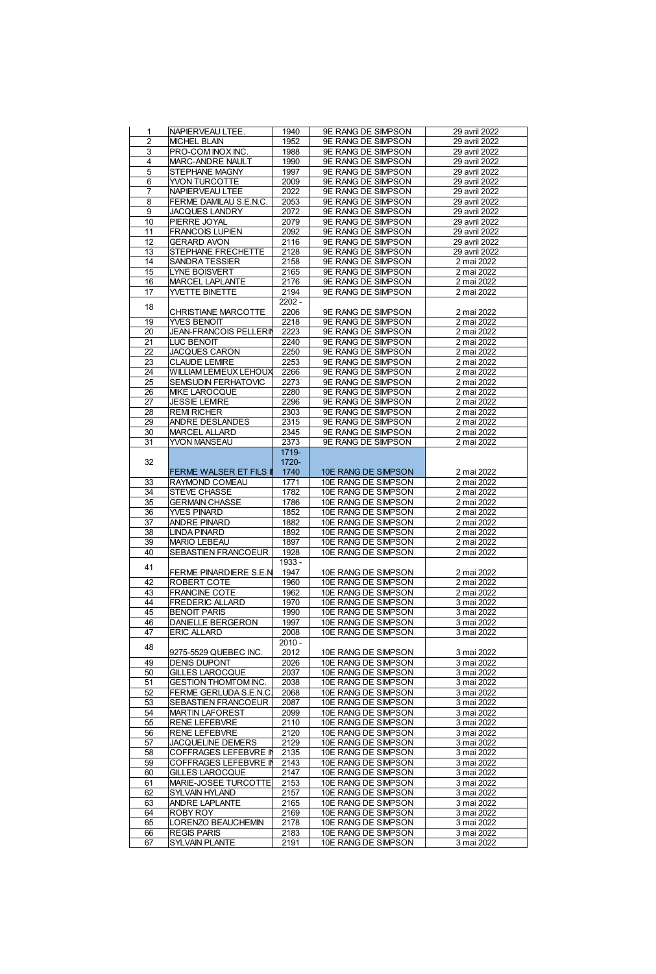|                         | NAPIERVEAU LTEE                             | 1940         | 9E RANG DE SIMPSON                         | 29 avril 2022            |
|-------------------------|---------------------------------------------|--------------|--------------------------------------------|--------------------------|
| $\overline{\mathbf{2}}$ | <b>MICHEL BLAIN</b>                         | 1952         | 9E RANG DE SIMPSON                         | 29 avril 2022            |
| 3                       | PRO-COMINOX INC                             | 1988         | 9E RANG DE SIMPSON                         | 29 avril 2022            |
|                         |                                             |              |                                            |                          |
| 4                       | MARC-ANDRE NAULT                            | 1990         | 9E RANG DE SIMPSON                         | 29 avril 2022            |
| 5                       | STEPHANE MAGNY                              | 1997         | 9E RANG DE SIMPSON                         | 29 avril 2022            |
| 6                       | YVON TURCOTTE                               | 2009         | <b>9E RANG DE SIMPSON</b>                  | 29 avril 2022            |
| 7                       | <b>NAPIERVEAU LTEE</b>                      | 2022         | 9E RANG DE SIMPSON                         | 29 avril 2022            |
|                         |                                             |              |                                            |                          |
| 8                       | FERME DAMILAU S.E.N.C.                      | 2053         | 9E RANG DE SIMPSON                         | 29 avril 2022            |
| 9                       | JACQUES LANDRY                              | 2072         | 9E RANG DE SIMPSON                         | 29 avril 2022            |
| 10                      | PIERRE JOYAL                                | 2079         | 9E RANG DE SIMPSON                         | 29 avril 2022            |
|                         |                                             |              |                                            |                          |
| 11                      | <b>FRANCOIS LUPIEN</b>                      | 2092         | 9E RANG DE SIMPSON                         | 29 avril 2022            |
| 12                      | <b>GERARD AVON</b>                          | 2116         | 9E RANG DE SIMPSON                         | 29 avril 2022            |
| 13                      | STEPHANE FRECHETTE                          | 2128         | 9E RANG DE SIMPSON                         | 29 avril 2022            |
|                         |                                             |              |                                            |                          |
| 14                      | <b>SANDRA TESSIER</b>                       | 2158         | 9E RANG DE SIMPSON                         | 2 mai 2022               |
| 15                      | <b>LYNE BOISVERT</b>                        | 2165         | 9E RANG DE SIMPSON                         | 2 mai 2022               |
| 16                      | MARCEL LAPLANTE                             | 2176         | 9E RANG DE SIMPSON                         | 2 mai 2022               |
| 17                      | YVETTE BINETTE                              | 2194         | 9E RANG DE SIMPSON                         | 2 mai 2022               |
|                         |                                             |              |                                            |                          |
| 18                      |                                             | $2202 -$     |                                            |                          |
|                         | CHRISTIANE MARCOTTE                         | 2206         | 9E RANG DE SIMPSON                         | 2 mai 2022               |
| 19                      | YVES BENOIT                                 | 2218         | 9E RANG DE SIMPSON                         | 2 mai 2022               |
|                         |                                             |              |                                            |                          |
| 20                      | JEAN-FRANCOIS PELLERIN                      | 2223         | 9E RANG DE SIMPSON                         | 2 mai 2022               |
| 21                      | LUC BENOIT                                  | 2240         | 9E RANG DE SIMPSON                         | 2 mai 2022               |
| 22                      | JACQUES CARON                               | 2250         | <b>9E RANG DE SIMPSON</b>                  | 2 mai 2022               |
| 23                      | <b>CLAUDE LEMIRE</b>                        | 2253         | 9E RANG DE SIMPSON                         | 2 mai 2022               |
|                         |                                             |              |                                            |                          |
| 24                      | WILLIAM LEMEUX LEHOUX                       | 2266         | 9E RANG DE SIMPSON                         | 2 mai 2022               |
| 25                      | <b>SEMSUDIN FERHATOVIC</b>                  | 2273         | 9E RANG DE SIMPSON                         | 2 mai 2022               |
| 26                      | MIKE LAROCQUE                               | 2280         | 9E RANG DE SIMPSON                         | 2 mai 2022               |
|                         |                                             |              |                                            |                          |
| 27                      | <b>JESSIE LEMRE</b>                         | 2296         | 9E RANG DE SIMPSON                         | 2 mai 2022               |
| 28                      | <b>REM RICHER</b>                           | 2303         | 9E RANG DE SIMPSON                         | 2 mai 2022               |
| 29                      | ANDRE DESLANDES                             | 2315         | 9E RANG DE SIMPSON                         | 2 mai 2022               |
|                         |                                             |              |                                            |                          |
| 30                      | MARCEL ALLARD                               | 2345         | 9E RANG DE SIMPSON                         | 2 mai 2022               |
| 31                      | YVON MANSEAU                                | 2373         | 9E RANG DE SIMPSON                         | 2 mai 2022               |
|                         |                                             | 1719-        |                                            |                          |
|                         |                                             |              |                                            |                          |
| 32                      |                                             | 1720-        |                                            |                          |
|                         | FERME WALSER ET FILS I                      | 1740         | 10E RANG DE SIMPSON                        | 2 mai 2022               |
| 33                      | RAYMOND COMEAU                              | 1771         | 10E RANG DE SIMPSON                        | 2 mai 2022               |
| 34                      |                                             | 1782         |                                            |                          |
|                         | STEVE CHASSE                                |              | 10E RANG DE SIMPSON                        | 2 mai 2022               |
| 35                      | <b>GERMAIN CHASSE</b>                       | 1786         | 10E RANG DE SIMPSON                        | 2 mai 2022               |
| 36                      | YVES PINARD                                 | 1852         | 10E RANG DE SIMPSON                        | 2 mai 2022               |
| 37                      | <b>ANDRE PINARD</b>                         | 1882         | 10E RANG DE SIMPSON                        | 2 mai 2022               |
|                         |                                             |              |                                            |                          |
| 38                      | <b>LINDA PINARD</b>                         | 1892         | 10E RANG DE SIMPSON                        | 2 mai 2022               |
| 39                      | <b>MARIO LEBEAU</b>                         | 1897         | 10E RANG DE SIMPSON                        | 2 mai 2022               |
| 40                      | SEBASTIEN FRANCOEUR                         | 1928         | 10E RANG DE SIMPSON                        | 2 mai 2022               |
|                         |                                             |              |                                            |                          |
| 41                      |                                             | 1933 -       |                                            |                          |
|                         | FERME PINARDIERE S.E.N                      | 1947         | 10E RANG DE SIMPSON                        | 2 mai 2022               |
| 42                      | <b>ROBERT COTE</b>                          | 1960         | 10E RANG DE SIMPSON                        | 2 mai 2022               |
| 43                      | <b>FRANCINE COTE</b>                        | 1962         | 10E RANG DE SIMPSON                        | 2 mai 2022               |
|                         |                                             |              |                                            |                          |
| 44                      | FREDERIC ALLARD                             | 1970         | 10E RANG DE SIMPSON                        | 3 mai 2022               |
| 45                      | <b>BENOIT PARIS</b>                         | 1990         | 10E RANG DE SIMPSON                        | 3 mai 2022               |
| 46                      | DANIELLE BERGERON                           | 1997         | 10E RANG DE SIMPSON                        | 3 mai 2022               |
|                         |                                             |              | 10E RANG DE SIMPSON                        | 3 mai 2022               |
| 47                      | ERIC ALLARD                                 | 2008         |                                            |                          |
|                         |                                             |              |                                            |                          |
|                         |                                             | $2010 -$     |                                            |                          |
| 48                      |                                             |              |                                            |                          |
|                         | 9275-5529 QUEBEC INC.                       | 2012         | 10E RANG DE SIMPSON                        | 3 mai 2022               |
| 49                      | <b>DENIS DUPONT</b>                         | 2026         | 10E RANG DE SIMPSON                        | 3 mai 2022               |
| 50                      | <b>GILLES LAROCQUE</b>                      | 2037         | 10E RANG DE SIMPSON                        | 3 mai 2022               |
| 51                      | <b>GESTION THOMTOM INC</b>                  | 2038         | 10E RANG DE SIMPSON                        | 3 mai 2022               |
|                         |                                             |              |                                            |                          |
| 52                      | FERME GERLUDA S.E.N.C                       | 2068         | 10E RANG DE SIMPSON                        | 3 mai 2022               |
| 53                      | SEBASTIEN FRANCOEUR                         | 2087         | 10E RANG DE SIMPSON                        | 3 mai 2022               |
| 54                      | <b>MARTIN LAFOREST</b>                      | 2099         | 10E RANG DE SIMPSON                        | 3 mai 2022               |
|                         |                                             |              |                                            |                          |
| 55                      | <b>RENE LEFEBVRE</b>                        | 2110         | 10E RANG DE SIMPSON                        | 3 mai 2022               |
| 56                      | <b>RENE LEFEBVRE</b>                        | 2120         | 10E RANG DE SIMPSON                        | 3 mai 2022               |
| 57                      | JACQUELINE DEMERS                           | 2129         | 10E RANG DE SIMPSON                        | 3 mai 2022               |
| 58                      | COFFRAGES LEFEBVRE IN                       | 2135         | 10E RANG DE SIMPSON                        | 3 mai 2022               |
|                         |                                             |              |                                            |                          |
| 59                      | COFFRAGES LEFEBVRE IN                       | 2143         | 10E RANG DE SIMPSON                        | 3 mai 2022               |
| 60                      | GILLES LAROCQUE                             | 2147         | 10E RANG DE SIMPSON                        | 3 mai 2022               |
| 61                      | MARIE-JOSEE TURCOTTE                        | 2153         | 10E RANG DE SIMPSON                        | 3 mai 2022               |
|                         |                                             |              |                                            |                          |
| 62                      | SYLVAIN HYLAND                              | 2157         | 10E RANG DE SIMPSON                        | 3 mai 2022               |
| 63                      | ANDRE LAPLANTE                              | 2165         | 10E RANG DE SIMPSON                        | 3 mai 2022               |
| 64                      | <b>ROBY ROY</b>                             | 2169         | 10E RANG DE SIMPSON                        | 3 mai 2022               |
| 65                      | LORENZO BEAUCHEMIN                          | 2178         |                                            |                          |
|                         |                                             |              | 10E RANG DE SIMPSON                        | 3 mai 2022               |
| 66<br>67                | <b>REGIS PARIS</b><br><b>SYLVAIN PLANTE</b> | 2183<br>2191 | 10E RANG DE SIMPSON<br>10E RANG DE SIMPSON | 3 mai 2022<br>3 mai 2022 |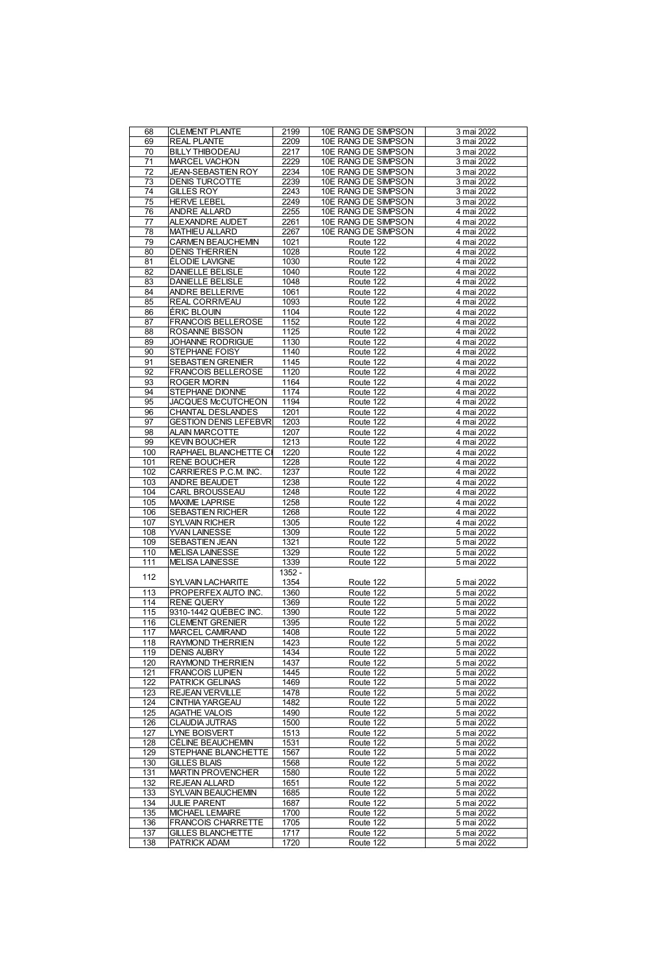| 68              | <b>CLEMENT PLANTE</b>             | 2199         | 10E RANG DE SIMPSON    | 3 mai 2022               |
|-----------------|-----------------------------------|--------------|------------------------|--------------------------|
| 69              | <b>REAL PLANTE</b>                | 2209         | 10E RANG DE SIMPSON    | 3 mai 2022               |
|                 |                                   |              |                        |                          |
| 70              | <b>BILLY THIBODEAU</b>            | 2217         | 10E RANG DE SIMPSON    | 3 mai 2022               |
| $\overline{71}$ | MARCEL VACHON                     | 2229         | 10E RANG DE SIMPSON    | 3 mai 2022               |
| 72              | <b>JEAN-SEBASTIEN ROY</b>         | 2234         | 10E RANG DE SIMPSON    | 3 mai 2022               |
| 73              | <b>DENIS TURCOTTE</b>             | 2239         | 10E RANG DE SIMPSON    | 3 mai 2022               |
|                 |                                   |              |                        |                          |
| 74              | <b>GILLES ROY</b>                 | 2243         | 10E RANG DE SIMPSON    | 3 mai 2022               |
| 75              | <b>HERVE LEBEL</b>                | 2249         | 10E RANG DE SIMPSON    | 3 mai 2022               |
|                 |                                   |              |                        |                          |
| 76              | <b>ANDRE ALLARD</b>               | 2255         | 10E RANG DE SIMPSON    | 4 mai 2022               |
| $\overline{77}$ | ALEXANDRE AUDET                   | 2261         | 10E RANG DE SIMPSON    | 4 mai 2022               |
| 78              | MATHIEU ALLARD                    | 2267         | 10E RANG DE SIMPSON    | 4 mai 2022               |
|                 |                                   |              |                        |                          |
| 79              | CARMEN BEAUCHEMIN                 | 1021         | Route 122              | 4 mai 2022               |
| 80              | <b>DENIS THERRIEN</b>             | 1028         | Route 122              | 4 mai 2022               |
| 81              | ÉLODIE LAVIGNE                    | 1030         | Route 122              | 4 mai 2022               |
|                 |                                   |              |                        |                          |
| 82              | DANIELLE BELISLE                  | 1040         | Route 122              | 4 mai 2022               |
| 83              | DANIELLE BELISLE                  | 1048         | Route 122              | 4 mai 2022               |
| 84              | ANDRE BELLERIVE                   | 1061         | Route 122              | 4 mai 2022               |
|                 |                                   |              |                        |                          |
| 85              | <b>REAL CORRIVEAU</b>             | 1093         | Route 122              | 4 mai 2022               |
| 86              | <b>ERIC BLOUIN</b>                | 1104         | Route 122              | 4 mai 2022               |
| 87              | <b>FRANCOIS BELLEROSE</b>         | 1152         | Route 122              | 4 mai 2022               |
|                 |                                   |              |                        |                          |
| 88              | ROSANNE BISSON                    | 1125         | Route 122              | 4 mai 2022               |
| 89              | JOHANNE RODRIGUE                  | 1130         | Route 122              | 4 mai 2022               |
| 90              | STEPHANE FOISY                    | 1140         | Route 122              | 4 mai 2022               |
|                 |                                   |              |                        |                          |
| 91              | <b>SEBASTIEN GRENIER</b>          | 1145         | Route 122              | 4 mai 2022               |
| 92              | <b>FRANCOIS BELLEROSE</b>         | 1120         | Route 122              | 4 mai 2022               |
| 93              | <b>ROGER MORIN</b>                | 1164         | Route 122              | 4 mai 2022               |
|                 |                                   |              |                        |                          |
| 94              | STEPHANE DIONNE                   | 1174         | Route 122              | 4 mai 2022               |
| 95              | <b>JACQUES McCUTCHEON</b>         | 1194         | Route 122              | 4 mai 2022               |
| 96              | CHANTAL DESLANDES                 | 1201         | Route 122              | 4 mai 2022               |
|                 |                                   |              |                        |                          |
| 97              | <b>GESTION DENIS LEFEBVR</b>      | 1203         | Route 122              | 4 mai 2022               |
| 98              | <b>ALAIN MARCOTTE</b>             | 1207         | Route 122              | 4 mai 2022               |
| 99              | <b>KEVIN BOUCHER</b>              | 1213         | Route 122              | 4 mai 2022               |
|                 |                                   |              |                        |                          |
| 100             | RAPHAEL BLANCHETTE CI             | 1220         | Route 122              | 4 mai 2022               |
| 101             | <b>RENE BOUCHER</b>               | 1228         | Route 122              | 4 mai 2022               |
| 102             | CARRIERES P.C.M INC               |              | Route 122              | 4 mai 2022               |
|                 |                                   | 1237         |                        |                          |
| 103             | ANDRE BEAUDET                     | 1238         | Route 122              | 4 mai 2022               |
| 104             | CARL BROUSSEAU                    | 1248         | Route 122              | 4 mai 2022               |
| 105             | <b>MAXIME LAPRISE</b>             | 1258         | Route 122              | 4 mai 2022               |
|                 |                                   |              |                        |                          |
| 106             | <b>SEBASTIEN RICHER</b>           | 1268         | Route 122              | 4 mai 2022               |
| 107             | <b>SYLVAIN RICHER</b>             | 1305         | Route 122              | 4 mai 2022               |
|                 |                                   |              |                        |                          |
| 108             | YVAN LAINESSE                     | 1309         | Route 122              | 5 mai 2022               |
| 109             | <b>SEBASTIEN JEAN</b>             | 1321         | Route 122              | 5 mai 2022               |
| 110             | <b>MELISA LAINESSE</b>            | 1329         | Route 122              | 5 mai 2022               |
|                 |                                   |              |                        |                          |
| 111             | <b>MELISA LAINESSE</b>            | 1339         | Route 122              | 5 mai 2022               |
|                 |                                   | $1352 -$     |                        |                          |
| 112             | <b>SYLVAIN LACHARITE</b>          | 1354         | Route 122              | 5 mai 2022               |
|                 |                                   |              |                        |                          |
| 113             | PROPERFEX AUTO INC.               | 1360         | Route 122              | 5 mai 2022               |
| 114             | <b>RENE QUERY</b>                 | 1369         | Route 122              | 5 mai 2022               |
| 115             | 9310-1442 QUÉBEC INC.             | 1390         | Route 122              | 5 mai 2022               |
| 116             | <b>CLEMENT GRENER</b>             | 1395         | Route 122              | 5 mai 2022               |
|                 |                                   |              |                        |                          |
| 117             | MARCEL CAMIRAND                   | 1408         | Route 122              | 5 mai 2022               |
| 118             | <b>RAYMOND THERRIEN</b>           | 1423         | Route 122              | 5 mai 2022               |
| 119             | <b>DENIS AUBRY</b>                | 1434         | Route 122              | 5 mai 2022               |
|                 |                                   |              |                        |                          |
| 120             | <b>RAYMOND THERRIEN</b>           | 1437         | Route 122              | 5 mai 2022               |
| 121             | <b>FRANCOIS LUPIEN</b>            | 1445         | Route 122              | 5 mai 2022               |
| 122             | <b>PATRICK GELINAS</b>            | 1469         | Route 122              | 5 mai 2022               |
|                 |                                   |              |                        |                          |
| 123             | <b>REJEAN VERVILLE</b>            | 1478         | Route 122              | 5 mai 2022               |
| 124             | <b>CINTHIA YARGEAU</b>            | 1482         | Route 122              | 5 mai 2022               |
| 125             | <b>AGATHE VALOIS</b>              | 1490         | Route 122              | 5 mai 2022               |
|                 |                                   |              |                        |                          |
| 126             | <b>CLAUDIA JUTRAS</b>             | 1500         | Route 122              | 5 mai 2022               |
| 127             | LYNE BOISVERT                     | 1513         | Route 122              | 5 mai 2022               |
| 128             | <b>CÉLINE BEAUCHEMN</b>           | 1531         | Route 122              | 5 mai 2022               |
|                 |                                   |              |                        |                          |
| 129             | STEPHANE BLANCHETTE               | 1567         | Route 122              | 5 mai 2022               |
| 130             | <b>GILLES BLAIS</b>               | 1568         | Route 122              | 5 mai 2022               |
| 131             | MARTIN PROVENCHER                 | 1580         | Route 122              | 5 mai 2022               |
|                 |                                   |              |                        |                          |
| 132             | REJEAN ALLARD                     | 1651         | Route 122              | 5 mai 2022               |
| 133             | SYLVAIN BEAUCHEMIN                | 1685         | Route 122              | 5 mai 2022               |
| 134             | <b>JULIE PARENT</b>               | 1687         | Route 122              | 5 mai 2022               |
| 135             |                                   |              |                        |                          |
|                 | MICHAEL LEMAIRE                   | 1700         | Route 122              | 5 mai 2022               |
| 136             |                                   |              |                        |                          |
|                 | <b>FRANCOIS CHARRETTE</b>         | 1705         | Route 122              | 5 mai 2022               |
|                 |                                   |              |                        |                          |
| 137<br>138      | GILLES BLANCHETTE<br>PATRICK ADAM | 1717<br>1720 | Route 122<br>Route 122 | 5 mai 2022<br>5 mai 2022 |